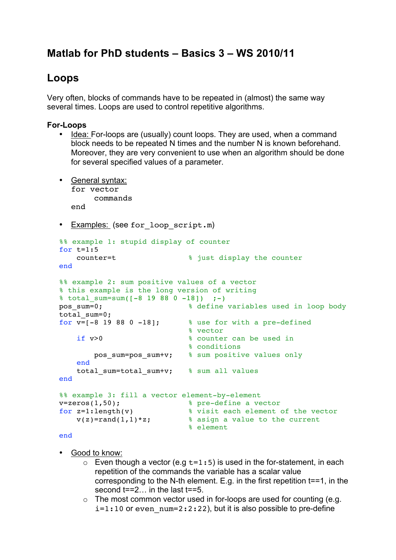# **Matlab for PhD students – Basics 3 – WS 2010/11**

## **Loops**

Very often, blocks of commands have to be repeated in (almost) the same way several times. Loops are used to control repetitive algorithms.

### **For-Loops**

- Idea: For-loops are (usually) count loops. They are used, when a command block needs to be repeated N times and the number N is known beforehand. Moreover, they are very convenient to use when an algorithm should be done for several specified values of a parameter.
- General syntax: for vector commands end
- Examples: (see for loop script.m)

```
%% example 1: stupid display of counter
for t=1:5 counter=t % just display the counter
end
%% example 2: sum positive values of a vector
% this example is the long version of writing
\frac{1}{2} total sum=sum([-8 19 88 0 -18]) ;-)
pos_sum=0; % define variables used in loop body
total sum=0;
for v=[-8 \t19 \t88 \t0 \t-18]; % use for with a pre-defined
                          % vector
   if v>0 % counter can be used in
                          % conditions
       pos sum=pos sum+v; % sum positive values only
    end
   total sum=total sum+v; % sum all values
end
%% example 3: fill a vector element-by-element
v=zeros(1,50); % pre-define a vector
for z=1:length(v) % visit each element of the vector
v(z)=rand(1,1)*z; \frac{1}{z} % asign a value to the current
                          % element
```
#### end

- Good to know:
	- $\circ$  Even though a vector (e.g  $t=1:5$ ) is used in the for-statement, in each repetition of the commands the variable has a scalar value corresponding to the N-th element. E.g. in the first repetition t==1, in the second  $t=-2...$  in the last  $t=-5$ .
	- $\circ$  The most common vector used in for-loops are used for counting (e.g.  $i=1:10$  or even num=2:2:22), but it is also possible to pre-define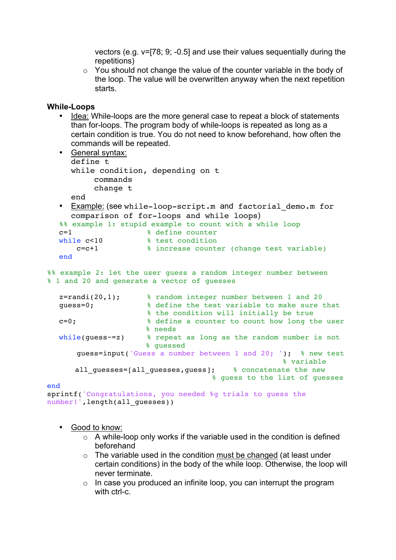vectors (e.g. v=[78; 9; -0.5] and use their values sequentially during the repetitions)

o You should not change the value of the counter variable in the body of the loop. The value will be overwritten anyway when the next repetition starts.

#### **While-Loops**

• Idea: While-loops are the more general case to repeat a block of statements than for-loops. The program body of while-loops is repeated as long as a certain condition is true. You do not need to know beforehand, how often the commands will be repeated.

```
• General syntax:
     define t
     while condition, depending on t
          commands
          change t
     end
  • Example: (see while-loop-script.m and factorial demo.m for
     comparison of for-loops and while loops)
  %% example 1: stupid example to count with a while loop<br>c=1 % define counter
                     % define counter
  while c < 10 % test condition
       c=c+1 % increase counter (change test variable)
  end
%% example 2: let the user quess a random integer number between
% 1 and 20 and generate a vector of guesses
  z=randi(20,1); % random integer number between 1 and 20
  guess=0; % define the test variable to make sure that 
                      % the condition will initially be true
  c=0; % define a counter to count how long the user 
                      % needs 
  while(guess~=z) % repeat as long as the random number is not
                       % guessed 
       guess=input('Guess a number between 1 and 20; '); % new test 
                                                    % variable
       all_guesses=[all_guesses,guess]; % concatenate the new 
                                    % guess to the list of guesses
end
sprintf('Congratulations, you needed %g trials to guess the 
number!', length(all guesses))
```
- Good to know:
	- $\circ$  A while-loop only works if the variable used in the condition is defined beforehand
	- $\circ$  The variable used in the condition must be changed (at least under certain conditions) in the body of the while loop. Otherwise, the loop will never terminate.
	- $\circ$  In case you produced an infinite loop, you can interrupt the program with ctrl-c.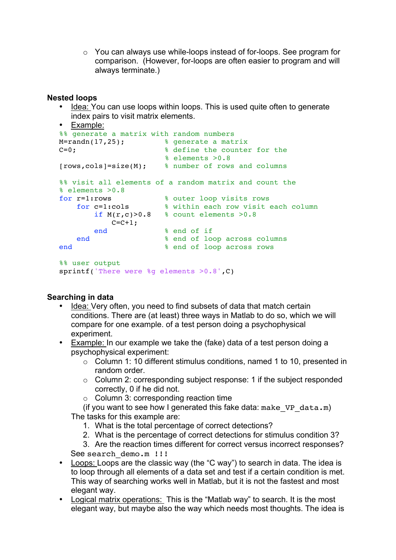o You can always use while-loops instead of for-loops. See program for comparison. (However, for-loops are often easier to program and will always terminate.)

#### **Nested loops**

• Idea: You can use loops within loops. This is used quite often to generate index pairs to visit matrix elements.

```
• Example:
%% generate a matrix with random numbers
M=randn(17,25); % generate a matrix
C=0; % define the counter for the 
                     % elements >0.8
[rows,cols]=size(M); % number of rows and columns
%% visit all elements of a random matrix and count the 
% elements >0.8<br>for r=1:rows
for r=1:rows % outer loop visits rows
for c=1:cols % within each row visit each column
       if M(r, c) > 0.8 % count elements > 0.8C=C+1;end % end of if<br>end % end of loc
                      end % end of loop across columns
end \text{ } end of loop across rows
%% user output
sprintf('There were %g elements >0.8',C)
```
#### **Searching in data**

- Idea: Very often, you need to find subsets of data that match certain conditions. There are (at least) three ways in Matlab to do so, which we will compare for one example. of a test person doing a psychophysical experiment.
- Example: In our example we take the (fake) data of a test person doing a psychophysical experiment:
	- o Column 1: 10 different stimulus conditions, named 1 to 10, presented in random order.
	- o Column 2: corresponding subject response: 1 if the subject responded correctly, 0 if he did not.
	- o Column 3: corresponding reaction time

(if you want to see how I generated this fake data: make  $VP$  data.m) The tasks for this example are:

- 1. What is the total percentage of correct detections?
- 2. What is the percentage of correct detections for stimulus condition 3?

3. Are the reaction times different for correct versus incorrect responses?

See search demo.m !!!

- Loops: Loops are the classic way (the "C way") to search in data. The idea is to loop through all elements of a data set and test if a certain condition is met. This way of searching works well in Matlab, but it is not the fastest and most elegant way.
- Logical matrix operations: This is the "Matlab way" to search. It is the most elegant way, but maybe also the way which needs most thoughts. The idea is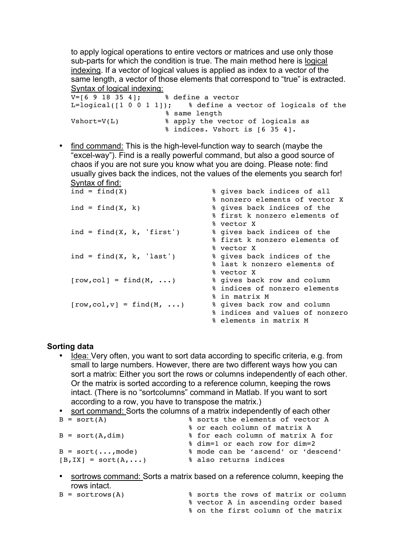to apply logical operations to entire vectors or matrices and use only those sub-parts for which the condition is true. The main method here is logical indexing. If a vector of logical values is applied as index to a vector of the same length, a vector of those elements that correspond to "true" is extracted. Syntax of logical indexing:

```
V=[6 9 18 35 4]; % define a vector
L=logical([1 0 0 1 1]); % define a vector of logicals of the
                     % same length
Vshort=V(L) \frac{1}{2} & apply the vector of logicals as
                     % indices. Vshort is [6 35 4].
```
• find command: This is the high-level-function way to search (maybe the "excel-way"). Find is a really powerful command, but also a good source of chaos if you are not sure you know what you are doing. Please note: find usually gives back the indices, not the values of the elements you search for! Syntax of find:

| $ind = find(X)$             | % gives back indices of all     |
|-----------------------------|---------------------------------|
|                             | % nonzero elements of vector X  |
| $ind = find(X, k)$          | % gives back indices of the     |
|                             | % first k nonzero elements of   |
|                             | % vector X                      |
| ind = $find(X, k, 'first')$ | % gives back indices of the     |
|                             | % first k nonzero elements of   |
|                             | % vector X                      |
| ind = $find(X, k, 'last')$  | % gives back indices of the     |
|                             | % last k nonzero elements of    |
|                             | % vector X                      |
| $[row, col] = find(M, )$    | % gives back row and column     |
|                             | % indices of nonzero elements   |
|                             | % in matrix M                   |
| $[row, col, v] = find(M, )$ | % gives back row and column     |
|                             | % indices and values of nonzero |
|                             | % elements in matrix M          |
|                             |                                 |

#### **Sorting data**

• Idea: Very often, you want to sort data according to specific criteria, e.g. from small to large numbers. However, there are two different ways how you can sort a matrix: Either you sort the rows or columns independently of each other. Or the matrix is sorted according to a reference column, keeping the rows intact. (There is no "sortcolumns" command in Matlab. If you want to sort according to a row, you have to transpose the matrix.)

```
• <u>sort command:</u> Sorts the columns of a matrix independently of each other B = sort(A)<br><sup>8</sup> sorts the elements of vector A
                                  % sorts the elements of vector A
                                  % or each column of matrix A
B = sort(A,dim) % for each column of matrix A for 
                                % dim=1 or each row for dim=2
B = sort(..., mode) 8 mode can be 'ascend' or 'descend'
[B, IX] = sort(A, ...) % also returns indices
```
- sortrows command: Sorts a matrix based on a reference column, keeping the rows intact.
- B = sortrows(A) % sorts the rows of matrix or column % vector A in ascending order based % on the first column of the matrix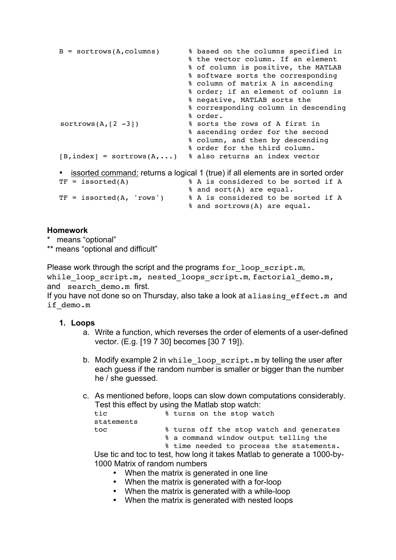```
B = sortrows(A,columns) % based on the columns specified in 
                                % the vector column. If an element 
                                % of column is positive, the MATLAB 
                                % software sorts the corresponding 
                                % column of matrix A in ascending 
                                % order; if an element of column is 
                                % negative, MATLAB sorts the 
                                % corresponding column in descending 
                                % order. 
sortrows(A, [2 -3]) % sorts the rows of A first in
                                % ascending order for the second 
                                % column, and then by descending 
                                % order for the third column.
[B, index] = sortrows(A,...) % also returns an index vector
• <u>issorted command:</u> returns a logical 1 (true) if all elements are in sorted order TF = i issorted (A) \# A is considered to be sorted if A
                               % A is considered to be sorted if A
                                % and sort(A) are equal.
TF = issued(A, 'rows') % A is considered to be sorted if A
                                % and sortrows(A) are equal.
```
#### **Homework**

\* means "optional"

\*\* means "optional and difficult"

Please work through the script and the programs for loop script.m, while loop script.m, nested loops script.m, factorial demo.m, and search demo.m first.

If you have not done so on Thursday, also take a look at aliasing effect.m and if\_demo.m

#### **1. Loops**

- a. Write a function, which reverses the order of elements of a user-defined vector. (E.g. [19 7 30] becomes [30 7 19]).
- b. Modify example 2 in while loop script.m by telling the user after each guess if the random number is smaller or bigger than the number he / she quessed.
- c. As mentioned before, loops can slow down computations considerably. Test this effect by using the Matlab stop watch:

| tic        | % turns on the stop watch                           |
|------------|-----------------------------------------------------|
| statements |                                                     |
| toc        | % turns off the stop watch and generates            |
|            | % a command window output telling the               |
|            | $\frac{1}{2}$ time needed to present the statements |

% time needed to process the statements.

Use tic and toc to test, how long it takes Matlab to generate a 1000-by-1000 Matrix of random numbers

- When the matrix is generated in one line
- When the matrix is generated with a for-loop
- When the matrix is generated with a while-loop
- When the matrix is generated with nested loops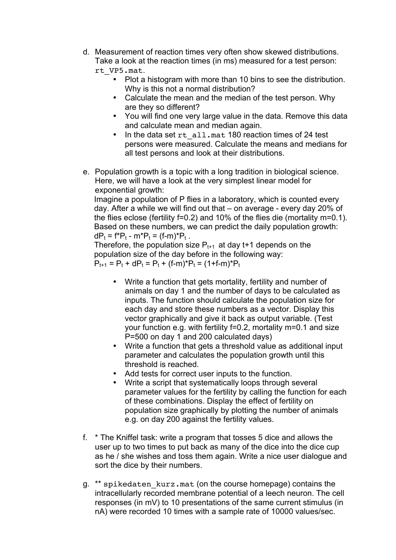- d. Measurement of reaction times very often show skewed distributions. Take a look at the reaction times (in ms) measured for a test person: rt\_VP5.mat.
	- Plot a histogram with more than 10 bins to see the distribution. Why is this not a normal distribution?
		- Calculate the mean and the median of the test person. Why are they so different?
		- You will find one very large value in the data. Remove this data and calculate mean and median again.
		- In the data set rt all.mat 180 reaction times of 24 test persons were measured. Calculate the means and medians for all test persons and look at their distributions.
- e. Population growth is a topic with a long tradition in biological science. Here, we will have a look at the very simplest linear model for exponential growth:

Imagine a population of P flies in a laboratory, which is counted every day. After a while we will find out that – on average - every day 20% of the flies eclose (fertility f=0.2) and 10% of the flies die (mortality m=0.1). Based on these numbers, we can predict the daily population growth:  $dP_t = f^*P_t - m^*P_t = (f-m)^*P_t$ .

Therefore, the population size  $P_{t+1}$  at day t+1 depends on the population size of the day before in the following way:  $P_{t+1} = P_t + dP_t = P_t + (f-m)^*P_t = (1+f-m)^*P_t$ 

- Write a function that gets mortality, fertility and number of animals on day 1 and the number of days to be calculated as inputs. The function should calculate the population size for each day and store these numbers as a vector. Display this vector graphically and give it back as output variable. (Test your function e.g. with fertility f=0.2, mortality m=0.1 and size P=500 on day 1 and 200 calculated days)
- Write a function that gets a threshold value as additional input parameter and calculates the population growth until this threshold is reached.
- Add tests for correct user inputs to the function.
- Write a script that systematically loops through several parameter values for the fertility by calling the function for each of these combinations. Display the effect of fertility on population size graphically by plotting the number of animals e.g. on day 200 against the fertility values.
- f. \* The Kniffel task: write a program that tosses 5 dice and allows the user up to two times to put back as many of the dice into the dice cup as he / she wishes and toss them again. Write a nice user dialogue and sort the dice by their numbers.
- g. \*\* spikedaten\_kurz.mat (on the course homepage) contains the intracellularly recorded membrane potential of a leech neuron. The cell responses (in mV) to 10 presentations of the same current stimulus (in nA) were recorded 10 times with a sample rate of 10000 values/sec.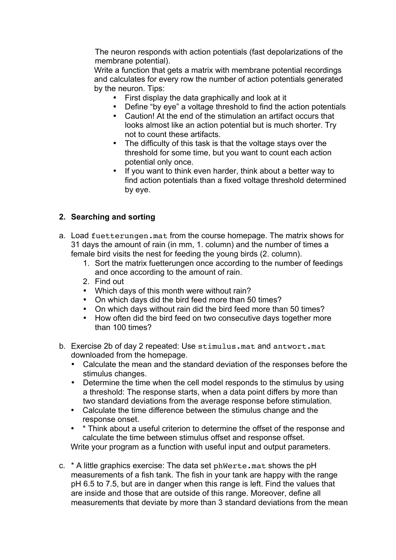The neuron responds with action potentials (fast depolarizations of the membrane potential).

Write a function that gets a matrix with membrane potential recordings and calculates for every row the number of action potentials generated by the neuron. Tips:

- First display the data graphically and look at it<br>• Define "by eve" a voltage threshold to find the
- Define "by eye" a voltage threshold to find the action potentials
- Caution! At the end of the stimulation an artifact occurs that looks almost like an action potential but is much shorter. Try not to count these artifacts.
- The difficulty of this task is that the voltage stays over the threshold for some time, but you want to count each action potential only once.
- If you want to think even harder, think about a better way to find action potentials than a fixed voltage threshold determined by eye.

## **2. Searching and sorting**

- a. Load fuetterungen.mat from the course homepage. The matrix shows for 31 days the amount of rain (in mm, 1. column) and the number of times a female bird visits the nest for feeding the young birds (2. column).
	- 1. Sort the matrix fuetterungen once according to the number of feedings and once according to the amount of rain.
	- 2. Find out
	- Which days of this month were without rain?
	- On which days did the bird feed more than 50 times?
	- On which days without rain did the bird feed more than 50 times?<br>• How often did the bird feed on two consecutive days together more
	- How often did the bird feed on two consecutive days together more than 100 times?
- b. Exercise 2b of day 2 repeated: Use stimulus.mat and antwort.mat downloaded from the homepage.
	- Calculate the mean and the standard deviation of the responses before the stimulus changes.
	- Determine the time when the cell model responds to the stimulus by using a threshold: The response starts, when a data point differs by more than two standard deviations from the average response before stimulation.
	- Calculate the time difference between the stimulus change and the response onset.
	- \* Think about a useful criterion to determine the offset of the response and calculate the time between stimulus offset and response offset. Write your program as a function with useful input and output parameters.
- c. \* A little graphics exercise: The data set phWerte.mat shows the pH measurements of a fish tank. The fish in your tank are happy with the range pH 6.5 to 7.5, but are in danger when this range is left. Find the values that are inside and those that are outside of this range. Moreover, define all measurements that deviate by more than 3 standard deviations from the mean